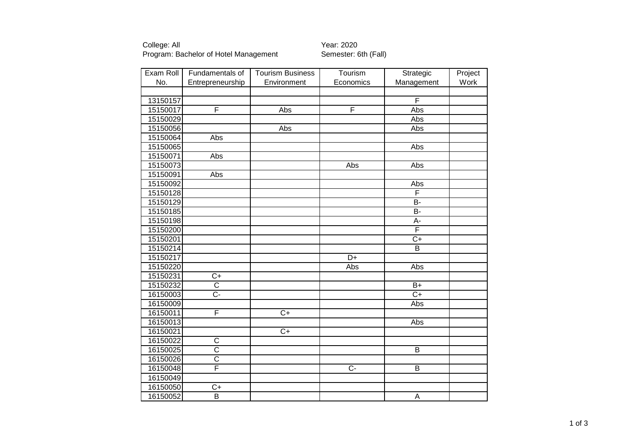College: All<br>Program: Bachelor of Hotel Management Semester: 6th (Fall) Program: Bachelor of Hotel Management

| Exam Roll | Fundamentals of       | <b>Tourism Business</b> | Tourism         | Strategic               | Project |
|-----------|-----------------------|-------------------------|-----------------|-------------------------|---------|
| No.       | Entrepreneurship      | Environment             | Economics       | Management              | Work    |
|           |                       |                         |                 |                         |         |
| 13150157  |                       |                         |                 | $\overline{\mathsf{F}}$ |         |
| 15150017  | F                     | Abs                     | F               | Abs                     |         |
| 15150029  |                       |                         |                 | Abs                     |         |
| 15150056  |                       | Abs                     |                 | Abs                     |         |
| 15150064  | Abs                   |                         |                 |                         |         |
| 15150065  |                       |                         |                 | Abs                     |         |
| 15150071  | Abs                   |                         |                 |                         |         |
| 15150073  |                       |                         | Abs             | Abs                     |         |
| 15150091  | Abs                   |                         |                 |                         |         |
| 15150092  |                       |                         |                 | Abs                     |         |
| 15150128  |                       |                         |                 | F                       |         |
| 15150129  |                       |                         |                 | $\overline{B}$          |         |
| 15150185  |                       |                         |                 | $\overline{B}$          |         |
| 15150198  |                       |                         |                 | $A -$                   |         |
| 15150200  |                       |                         |                 | F                       |         |
| 15150201  |                       |                         |                 | $\overline{C+}$         |         |
| 15150214  |                       |                         |                 | $\overline{B}$          |         |
| 15150217  |                       |                         | $\overline{D+}$ |                         |         |
| 15150220  |                       |                         | Abs             | Abs                     |         |
| 15150231  | $\overline{C}$        |                         |                 |                         |         |
| 15150232  | C                     |                         |                 | $B+$                    |         |
| 16150003  | C-                    |                         |                 | $\overline{C+}$         |         |
| 16150009  |                       |                         |                 | Abs                     |         |
| 16150011  | F                     | $\overline{C+}$         |                 |                         |         |
| 16150013  |                       |                         |                 | Abs                     |         |
| 16150021  |                       | $\overline{C+}$         |                 |                         |         |
| 16150022  | C                     |                         |                 |                         |         |
| 16150025  | $\overline{\text{c}}$ |                         |                 | B                       |         |
| 16150026  | $\overline{\text{c}}$ |                         |                 |                         |         |
| 16150048  | F                     |                         | $\overline{C}$  | B                       |         |
| 16150049  |                       |                         |                 |                         |         |
| 16150050  | $\overline{C}$        |                         |                 |                         |         |
| 16150052  | $\overline{B}$        |                         |                 | A                       |         |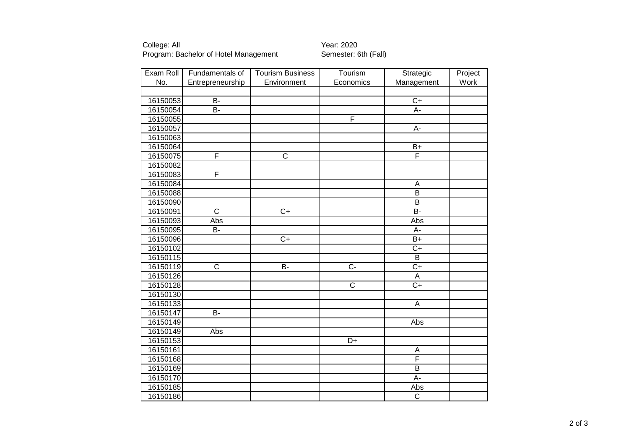College: All<br>Program: Bachelor of Hotel Management Semester: 6th (Fall) Program: Bachelor of Hotel Management

| Exam Roll | Fundamentals of       | <b>Tourism Business</b> | Tourism        | Strategic             | Project |
|-----------|-----------------------|-------------------------|----------------|-----------------------|---------|
| No.       | Entrepreneurship      | Environment             | Economics      | Management            | Work    |
|           |                       |                         |                |                       |         |
| 16150053  | B-                    |                         |                | $\overline{C+}$       |         |
| 16150054  | $B -$                 |                         |                | A-                    |         |
| 16150055  |                       |                         | F              |                       |         |
| 16150057  |                       |                         |                | A-                    |         |
| 16150063  |                       |                         |                |                       |         |
| 16150064  |                       |                         |                | $\overline{B+}$       |         |
| 16150075  | F                     | $\overline{\text{c}}$   |                | $\overline{F}$        |         |
| 16150082  |                       |                         |                |                       |         |
| 16150083  | F                     |                         |                |                       |         |
| 16150084  |                       |                         |                | A                     |         |
| 16150088  |                       |                         |                | $\overline{B}$        |         |
| 16150090  |                       |                         |                | $\overline{B}$        |         |
| 16150091  | $\overline{\text{c}}$ | $\overline{C+}$         |                | B-                    |         |
| 16150093  | Abs                   |                         |                | Abs                   |         |
| 16150095  | $\overline{B}$        |                         |                | A-                    |         |
| 16150096  |                       | $\overline{C+}$         |                | $B+$                  |         |
| 16150102  |                       |                         |                | $\overline{C+}$       |         |
| 16150115  |                       |                         |                | $\overline{B}$        |         |
| 16150119  | $\mathsf{C}$          | $\overline{B}$          | $\overline{C}$ | $C+$                  |         |
| 16150126  |                       |                         |                | A                     |         |
| 16150128  |                       |                         | $\overline{C}$ | $\overline{C+}$       |         |
| 16150130  |                       |                         |                |                       |         |
| 16150133  |                       |                         |                | A                     |         |
| 16150147  | <b>B-</b>             |                         |                |                       |         |
| 16150149  |                       |                         |                | Abs                   |         |
| 16150149  | Abs                   |                         |                |                       |         |
| 16150153  |                       |                         | D+             |                       |         |
| 16150161  |                       |                         |                | A                     |         |
| 16150168  |                       |                         |                | F                     |         |
| 16150169  |                       |                         |                | $\overline{B}$        |         |
| 16150170  |                       |                         |                | A-                    |         |
| 16150185  |                       |                         |                | Abs                   |         |
| 16150186  |                       |                         |                | $\overline{\text{c}}$ |         |